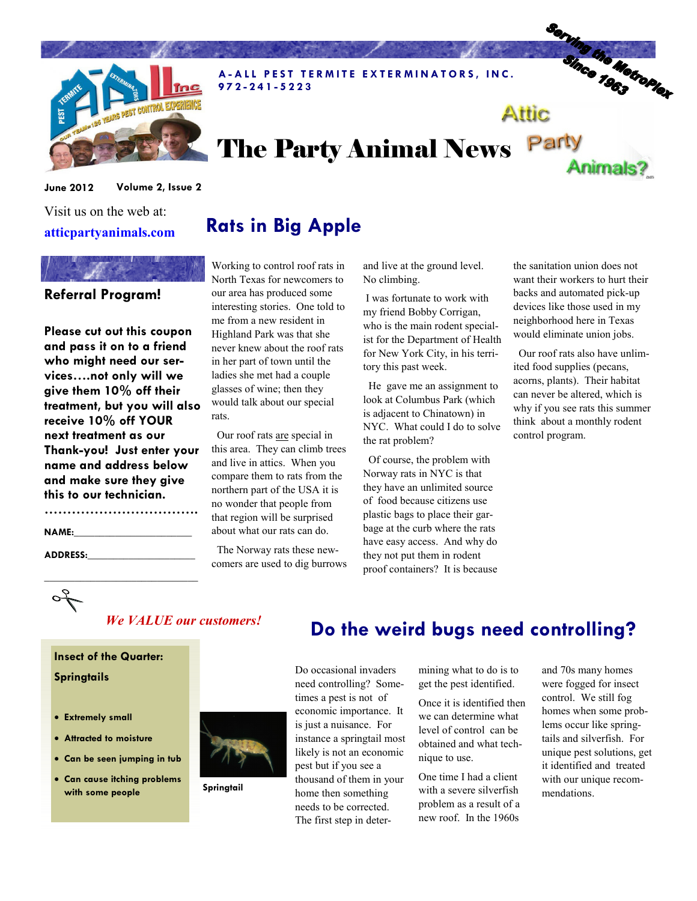

A-ALL PEST TERMITE EXTERMINATORS, INC. 9 7 2 - 2 4 1 - 5 2 2 3

## The Party Animal News Party Animals?

June 2012 Volume 2, Issue 2

#### Visit us on the web at: atticpartyanimals.com

# Referral Program!

Please cut out this coupon and pass it on to a friend who might need our services….not only will we give them 10% off their treatment, but you will also receive 10% off YOUR next treatment as our Thank-you! Just enter your name and address below and make sure they give this to our technician.

| <b>NAME:</b> |  |  |
|--------------|--|--|

\_\_\_\_\_\_\_\_\_\_\_\_\_\_\_\_\_\_\_\_\_\_\_\_\_\_\_\_\_\_

ADDRESS:

 $\sigma_{\mathcal{N}}^{\ell}$ 

## Rats in Big Apple

Working to control roof rats in North Texas for newcomers to our area has produced some interesting stories. One told to me from a new resident in Highland Park was that she never knew about the roof rats in her part of town until the ladies she met had a couple glasses of wine; then they would talk about our special rats.

 Our roof rats are special in this area. They can climb trees and live in attics. When you compare them to rats from the northern part of the USA it is no wonder that people from that region will be surprised about what our rats can do.

 The Norway rats these newcomers are used to dig burrows and live at the ground level. No climbing.

 I was fortunate to work with my friend Bobby Corrigan, who is the main rodent specialist for the Department of Health for New York City, in his territory this past week.

 He gave me an assignment to look at Columbus Park (which is adjacent to Chinatown) in NYC. What could I do to solve the rat problem?

 Of course, the problem with Norway rats in NYC is that they have an unlimited source of food because citizens use plastic bags to place their garbage at the curb where the rats have easy access. And why do they not put them in rodent proof containers? It is because the sanitation union does not want their workers to hurt their backs and automated pick-up devices like those used in my neighborhood here in Texas would eliminate union jobs.

Serving the Metroplex

Attic

 Our roof rats also have unlimited food supplies (pecans, acorns, plants). Their habitat can never be altered, which is why if you see rats this summer think about a monthly rodent control program.

### We VALUE our customers!

Insect of the Quarter: **Springtails** 

#### • Extremely small

- Attracted to moisture
- Can be seen jumping in tub
- Can cause itching problems with some people



**Springtail** 

## Do the weird bugs need controlling?

Do occasional invaders need controlling? Sometimes a pest is not of economic importance. It is just a nuisance. For instance a springtail most likely is not an economic pest but if you see a thousand of them in your home then something needs to be corrected. The first step in deter-

mining what to do is to get the pest identified.

Once it is identified then we can determine what level of control can be obtained and what technique to use.

One time I had a client with a severe silverfish problem as a result of a new roof. In the 1960s

and 70s many homes were fogged for insect control. We still fog homes when some problems occur like springtails and silverfish. For unique pest solutions, get it identified and treated with our unique recommendations.